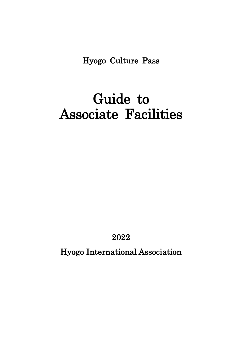Hyogo Culture Pass

## Guide to Associate Facilities

2022

Hyogo International Association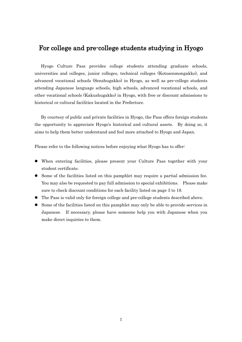## For college and pre-college students studying in Hyogo

Hyogo Culture Pass provides college students attending graduate schools, universities and colleges, junior colleges, technical colleges (Kotosenmongakko), and advanced vocational schools (Senshugakko) in Hyogo, as well as pre-college students attending Japanese language schools, high schools, advanced vocational schools, and other vocational schools (Kakushugakko) in Hyogo, with free or discount admissions to historical or cultural facilities located in the Prefecture.

By courtesy of public and private facilities in Hyogo, the Pass offers foreign students the opportunity to appreciate Hyogo's historical and cultural assets. By doing so, it aims to help them better understand and feel more attached to Hyogo and Japan.

Please refer to the following notices before enjoying what Hyogo has to offer:

- ⚫ When entering facilities, please present your Culture Pass together with your student certificate.
- ⚫ Some of the facilities listed on this pamphlet may require a partial admission fee. You may also be requested to pay full admission to special exhibitions. Please make sure to check discount conditions for each facility listed on page 3 to 19.
- ⚫ The Pass is valid only for foreign college and pre-college students described above.
- ⚫ Some of the facilities listed on this pamphlet may only be able to provide services in Japanese. If necessary, please have someone help you with Japanese when you make direct inquiries to them.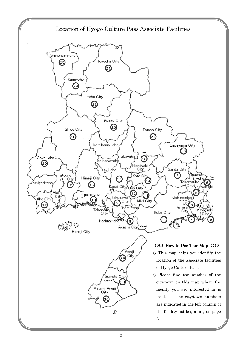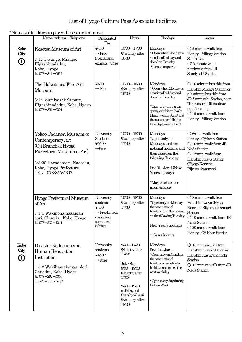## List of Hyogo Culture Pass Associate Facilities

\*Names of facilities in parentheses are tentative.

|                                  | Name/Address & Telephone                                                                                                                                                         | Discounted<br>Fee                                                                                     | Hours                                                                                                                                                                                            | Holidays                                                                                                                                                                                                            | Access                                                                                                                                                                                                                          |
|----------------------------------|----------------------------------------------------------------------------------------------------------------------------------------------------------------------------------|-------------------------------------------------------------------------------------------------------|--------------------------------------------------------------------------------------------------------------------------------------------------------------------------------------------------|---------------------------------------------------------------------------------------------------------------------------------------------------------------------------------------------------------------------|---------------------------------------------------------------------------------------------------------------------------------------------------------------------------------------------------------------------------------|
| Kobe<br>City<br>➀                | Kosetsu Museum of Art<br>2-12-1 Gunge, Mikage,<br>Higashinada-ku,<br>Kobe, Hyogo<br>TEL 078-841-0652                                                                             | ¥450<br>$\rightarrow$ Free<br>Special and<br>exhibits→Free                                            | $10:00 - 17:00$<br>(No entry after<br>16:30)                                                                                                                                                     | Mondays<br>* Open when Monday is<br>a national holiday and<br>closed on Tuesday<br>(please inquire)                                                                                                                 | $\bigcirc$ 5 minute walk from<br>Hankyu Mikage Station<br>South exit<br>$\bigcirc$ 15 minute walk<br>northwest from JR<br>Sumiyoshi Station                                                                                     |
|                                  | The Hakutsuru Fine Art<br>Museum<br>6-1-1 Sumiyoshi-Yamate,<br>Higashinada-ku, Kobe, Hyogo<br>TEL 078-851-6001                                                                   | ¥500<br>$\rightarrow$ Free                                                                            | $10:00 - 16:30$<br>(No entry after<br>16:00)                                                                                                                                                     | Mondays<br>* Open when Monday is<br>a national holiday and<br>closed on Tuesday<br>*Open only during the<br>spring exhibition (early<br>March-early June) and<br>the autumn exhibition<br>(late Sept. - early Dec.) | $\bigcirc$ 10 minute bus ride from<br>Hanshin Mikage Station or<br>a 7 minute bus ride from<br>JR Sumiyoshi Station, near<br>"Hakutsuru Bijutsukan-<br>mae" bus stop<br>$\bigcirc$ 15 minute walk from<br>Hankyu Mikage Station |
|                                  | Yokoo Tadanori Museum of<br>Contemporary Art<br>(Oji Branch of Hyogo<br>Prefectural Museum of Art)<br>3-8-30 Harada-dori, Nada-ku,<br>Kobe, Hyogo Prefecture<br>TEL 078-855-5607 | University<br><b>Students</b><br>$4550 \cdot$<br>$\rightarrow$ Free                                   | $10:00 - 18:00$<br>(No entry after<br>17:30)                                                                                                                                                     | Mondays<br>*Open only on<br>Mondays that are<br>national holidays, and<br>then closed on the<br>following Tuesday<br>Dec 31-Jan 1 (New<br>Year's holidays)<br>*May be closed for<br>maintenance                     | $\bigcirc$ 6-min. walk from<br>Hankyu Oji-koen Station<br>$\bigcirc$ 10-min. walk from JR<br>Nada Station<br>$\bigcirc$ 12-min. walk from<br>Hanshin Iwaya Station<br>(Hyogo Kenritsu<br>Bijyutsukan-mae)                       |
|                                  | Hyogo Prefectural Museum<br>of Art<br>1-1-1 Wakinohamakaigan-<br>dori, Chuo-ku, Kobe, Hyogo<br>TEL $078 - 262 - 1011$                                                            | University<br>students<br>¥400<br>$\rightarrow$ Free for both<br>special and<br>permanent<br>exhibits | $10:00 - 18:00$<br>(No entry after<br>17:30)                                                                                                                                                     | Mondays<br>*Open only on Mondays<br>that are national<br>holidays, and then closed<br>on the following Tuesday<br>New Year's holidays<br>* please inquire                                                           | $\bigcirc$ 8 minute walk from<br>Hanshin Iwaya (Hyogo<br>Kenritsu Bijyutsukan-mae)<br>Station<br>$\bigcirc$ 10 minute walk from JR<br>Nada Station<br>$\bigcirc$ 20 minute walk from<br>Hankyu Oji Koen Station                 |
| Kobe<br>City<br>$\left(1\right)$ | Disaster Reduction and<br>Human Renovation<br>Institution<br>1-5-2 Wakihamakaigan-dori,<br>Chuo-ku, Kobe, Hyogo<br>TEL 078-262-5050<br>http://www.dri.ne.jp/                     | University<br>students<br>¥450 $\cdot$<br>$\rightarrow$ Free                                          | $9:30 - 17:30$<br>(No entry after<br>16:30)<br>Jul. - Sep.<br>$9:30 - 18:00$<br>(No entry after<br>17:00)<br>$9:30 - 19:00$<br>on Friday and<br>Saturday (all year)<br>(No entry after<br>18:00) | Mondays<br>Dec. 31-Jan. 1<br>*Open only on Mondays<br>that are national<br>holidays or substitute<br>holidays and closed the<br>next weekday<br>*Open every day during<br>Golden Week                               | $O$ 10 minute walk from<br>Hanshin Iwaya Station or<br>Hanshin Kasuganomichi<br>Station<br>$O$ 12 minute walk from JR<br>Nada Station                                                                                           |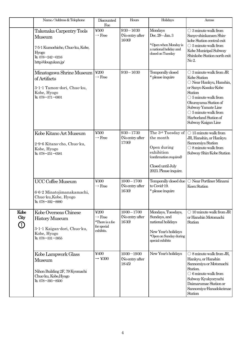|                                           | Name/Address & Telephone                                                                                                          | Discounted<br>Fee                                                         | Hours                                        | Holidays                                                                                                                              | Access                                                                                                                                                                                                                                                                        |
|-------------------------------------------|-----------------------------------------------------------------------------------------------------------------------------------|---------------------------------------------------------------------------|----------------------------------------------|---------------------------------------------------------------------------------------------------------------------------------------|-------------------------------------------------------------------------------------------------------------------------------------------------------------------------------------------------------------------------------------------------------------------------------|
|                                           | Takenaka Carpentry Tools<br>Museum<br>7-5-1 Kumochicho, Chuo-ku, Kobe,<br><b>Hyogo</b><br>TEL 078-242-0216<br>http://dougukan.jp/ | ¥500<br>$\rightarrow$ Free                                                | $9:30 - 16:30$<br>(No entry after<br>16:00)  | Mondays<br>Dec. 29-Jan. 3<br>*Open when Monday is<br>a national holiday and<br>closed on Tuesday                                      | $\bigcirc$ 3 minute walk from<br>Sanyo-shinkansen Shin-<br>kobe Station central exit<br>$\bigcirc$ 5 minute walk from<br>Kobe Municipal Subway<br>Shinkobe Station north exit<br>No 2.                                                                                        |
|                                           | Minatogawa Shrine Museum<br>of Artifacts<br>3-1-1 Tamon-dori, Chuo-ku,<br>Kobe, Hyogo<br>TEL 078-371-0001                         | $\text{\textless}\,200$<br>$\rightarrow$ Free                             | $9:30 - 16:30$                               | Temporally closed<br>* please inquire                                                                                                 | $\bigcirc$ 3 minute walk from JR<br>Kobe Station<br>O Near Hankyu, Hanshin,<br>or Sanyo Kosoku-Kobe<br>Station<br>$\bigcirc$ 5 minute walk from<br>Okurayama Station of<br>Subway Yamate Line<br>$\bigcirc$ 5 minute walk from<br>Harborland Station of<br>Subway Kaigan Line |
|                                           | Kobe Kitano Art Museum<br>2-9-6 Kitano-cho, Chuo-ku,<br>Kobe, Hyogo<br>TEL 078-251-0581                                           | ¥500<br>$\rightarrow$ Free                                                | $9:30 - 17:30$<br>(No entry after<br>17:00)  | The 3rd Tuesday of<br>the month<br>Open during<br>exhibition<br>(confirmation required)<br>Closed until July<br>2023. Please inquire. | $\bigcirc$ 15 minute walk from<br>JR, Hanshin, or Hankyu<br>Sannomiya Station<br>$\bigcirc$ 8 minute walk from<br>Subway Shin-Kobe Station                                                                                                                                    |
|                                           | <b>UCC Coffee Museum</b><br>6-6-2 Minatojimanakamachi,<br>Chuo-ku, Kobe, Hyogo<br>TEL 078-302-8880                                | ¥300<br>$\rightarrow$ Free                                                | $10:00 - 17:00$<br>(No entry after<br>16:30) | Temporally closed due<br>to Covid-19.<br>* please inquire                                                                             | $\bigcirc$ Near Portliner Minami<br>Koen Station                                                                                                                                                                                                                              |
| Kobe<br>City<br>$\textcircled{\small{1}}$ | Kobe Overseas Chinese<br><b>History Museum</b><br>3-1-1 Kaigan-dori, Chuo-ku,<br>Kobe, Hyogo<br>TEL 078-331-3855                  | ¥200<br>$\rightarrow$ Free<br>*There is a fee<br>for special<br>exhibits. | $10:00 - 17:00$<br>(No entry after<br>16:30) | Mondays, Tuesdays,<br>Sundays, and<br>national holidays<br>New Year's holidays<br>*Open on Sunday during<br>special exhibits          | $\bigcirc$ 10 minute walk from JR<br>or Hanshin Motomachi<br>Station                                                                                                                                                                                                          |
|                                           | Kobe Lampwork Glass<br>Museum<br>Nihon Building 2F, 79 Kyomachi<br>Chuo-ku, Kobe, Hyogo<br>TEL 078-393-8500                       | ¥400<br>$\rightarrow$ ¥300                                                | $10:00 - 19:00$<br>(No entry after<br>18:45  | New Year's holidays                                                                                                                   | $\bigcirc$ 8 minute walk from JR,<br>Hankyu, or Hanshin<br>Sannomiya or Motomachi<br>Station.<br>$\bigcirc$ 6 minute walk from<br>Subway Kyukyoryuchi<br>Daimarumae Station or<br>Sannomiya-Hanadokeimae<br>Station                                                           |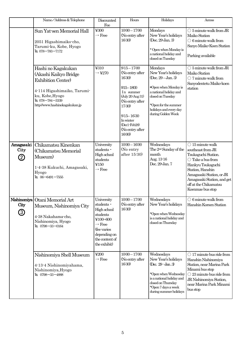|                         | Name/Address & Telephone                                                                                                                                                         | Discounted<br>Fee                                                                                                                                      | Hours                                                                                                                                                                                                          | Holidays                                                                                                                                                                                              | Access                                                                                                                                                                                                                                              |
|-------------------------|----------------------------------------------------------------------------------------------------------------------------------------------------------------------------------|--------------------------------------------------------------------------------------------------------------------------------------------------------|----------------------------------------------------------------------------------------------------------------------------------------------------------------------------------------------------------------|-------------------------------------------------------------------------------------------------------------------------------------------------------------------------------------------------------|-----------------------------------------------------------------------------------------------------------------------------------------------------------------------------------------------------------------------------------------------------|
|                         | Sun Yat-sen Memorial Hall<br>2051 Higashimaiko-cho,<br>Tarumi-ku, Kobe, Hyogo<br>TEL 078-783-7172                                                                                | ¥300<br>$\rightarrow$ Free                                                                                                                             | $10:00 - 17:00$<br>(No entry after<br>16:30)                                                                                                                                                                   | Mondays<br>New Year's holidays<br>(Dec. 29-Jan. 3)<br>* Open when Monday is<br>a national holiday and<br>closed on Tuesday                                                                            | $\bigcirc$ 5 minute walk from JR<br>Maiko Station<br>$\bigcirc$ 6 minute walk from<br>Sanyo Maiko-Koen Station<br>Parking available                                                                                                                 |
|                         | Hashi no Kagakukan<br>(Akashi Kaikyo Bridge<br><b>Exhibition Center)</b><br>4-114 Higashimaiko, Tarumi-<br>ku, Kobe, Hyogo<br>TEL 078-784-3339<br>http://www.hashinokagakukan.jp | ¥310<br>$\rightarrow$ ¥270                                                                                                                             | $9:15 - 17:00$<br>(No entry after<br>16:30)<br>$915 - 1800$<br>In summer<br>(July 20-Aug 31)<br>(No entry after<br>17:30)<br>$9:15 - 16:30$<br>In winter<br>$(Dec1\text{-}Feb28)$<br>(No entry after<br>16:00) | Mondays<br>New Year's holidays<br>$(Dec. 29 - Jan. 3)$<br>*Open when Monday is<br>a national holiday and<br>closed on Tuesday<br>*Open for the summer<br>holidays and every day<br>during Golden Week | $\bigcirc$ 5 minute walk from JR<br>Maiko Station<br>$\bigcirc$ 7 minute walk from<br>Sanyodentetu Maiko-koen<br>station                                                                                                                            |
| Amagasaki<br>City<br>2) | Chikamatsu Kinenkan<br>(Chikamatsu Memorial<br>Museum)<br>1-4-38 Kukuchi, Amagasaki,<br>Hyogo<br>TEL 06-6491-7555                                                                | University<br>students ·<br>High school<br>students<br>¥150<br>$\rightarrow$ Free                                                                      | $10:00 - 16:00$<br>(No entry<br>after 15:30)                                                                                                                                                                   | Wednesdays<br>The 2 <sup>nd</sup> Sunday of the<br>month<br>Aug. 13-16<br>Dec. 29-Jan. 7                                                                                                              | $\bigcirc$ 15 minute walk<br>southeast from JR<br>Tsukaguchi Station.<br>$\bigcirc$ Take a bus from<br>Hankyu Tsukaguchi<br>Station, Hanshin<br>Amagasaki Station, or JR<br>Amagasaki Station, and get<br>off at the Chikamatsu<br>Koenmae bus stop |
| City<br>③               | Nishinomiya Otani Memorial Art<br>Museum, Nishinomiya City<br>4-38 Nakahama-cho,<br>Nishinomiya, Hyogo<br>TEL 0798-33-0164                                                       | University<br>students ·<br>High school<br>students<br>¥100~600<br>$\rightarrow$ Free<br>(fee varies<br>depending on<br>the content of<br>the exhibit) | $10:00 - 17:00$<br>(No entry after<br>16:30)                                                                                                                                                                   | Wednesdays<br>New Year's holidays<br>*Open when Wednesday<br>is a national holiday and<br>closed on Thursday                                                                                          | $\bigcirc$ 6 minute walk from<br>Hanshin Koroen Station                                                                                                                                                                                             |
|                         | Nishinomiya Shell Museum<br>4-13-4 Nishinomiyahama,<br>Nishinomiya, Hyogo<br>TEL 0798-33-4888                                                                                    | $\textcolor{blue}{\boldsymbol{\mathfrak{Y}200}}$<br>$\rightarrow$ Free                                                                                 | $10:00 - 17:00$<br>(No entry after<br>16:30)                                                                                                                                                                   | Wednesdays<br>New Year's holidays<br>(Dec. 29-Jan.3)<br>*Open when Wednesday<br>is a national holiday and<br>closed on Thursday<br>*Open 7 days a week<br>during summer holidays                      | $\bigcirc$ 17 minute bus ride from<br>Hanshin Nishinomiya<br>Station, near Marina Park<br>Minami bus stop<br>$\bigcirc$ 23 minute bus ride from<br>JR Nishinomiya Station,<br>near Marina Park Minami<br>bus stop                                   |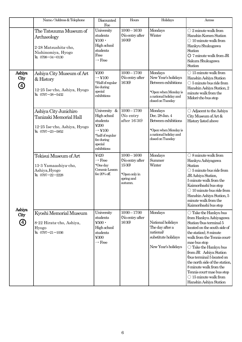|                                           | Name/Address & Telephone                                                                                | Discounted<br>Fee                                                                                                                 | Hours                                                                                 | Holidays                                                                                                                     | Access                                                                                                                                                                                                                                                                                                                                                                                                                                      |
|-------------------------------------------|---------------------------------------------------------------------------------------------------------|-----------------------------------------------------------------------------------------------------------------------------------|---------------------------------------------------------------------------------------|------------------------------------------------------------------------------------------------------------------------------|---------------------------------------------------------------------------------------------------------------------------------------------------------------------------------------------------------------------------------------------------------------------------------------------------------------------------------------------------------------------------------------------------------------------------------------------|
|                                           | The Tatsuuma Museum of<br>Archaeology<br>2-28 Matsushita-cho,<br>Nishinomiya, Hyogo<br>TEL 0798-34-0130 | University<br>students<br>$\text{\textless}100 \cdot$<br>High school<br>students<br>Free<br>$\rightarrow$ Free                    | $10:00 - 16:30$<br>(No entry after<br>16:00)                                          | Mondays<br>Winter                                                                                                            | $\bigcirc$ 2 minute walk from<br>Hanshin Koroen Station<br>$\bigcirc$ 10 minute walk from<br>Hankyu Shukugawa<br>Station<br>$O$ 7 minute walk from JR<br>Sakura Shukugawa<br><b>Station</b>                                                                                                                                                                                                                                                 |
| Ashiya<br>City<br>4                       | Ashiya City Museum of Art<br>& History<br>12-25 Ise-cho, Ashiya, Hyogo<br>TEL 0797-38-5432              | $\text{\textless}\,200$<br>$\rightarrow$ ¥100<br>*Half of regular<br>fee during<br>special<br>exhibitions                         | $10:00 - 17:00$<br>(No entry after<br>16:30)                                          | Mondays<br>New Year's holidays<br>Between exhibitions<br>*Open when Monday is<br>a national holiday and<br>closed on Tuesday | $\bigcirc$ 15 minute walk from<br>Hanshin Ashiya Station<br>$\bigcirc$ 5 minute bus ride from<br>Hanshin Ashiya Station, 2<br>minute walk from the<br>Midori-cho bus stop                                                                                                                                                                                                                                                                   |
|                                           | Ashiya City Junichiro<br>Tanizaki Memorial Hall<br>12-25 Ise-cho, Ashiya, Hyogo<br>TEL 0797-23-5852     | University &<br>High school<br>students<br>¥200<br>$\rightarrow$ ¥100<br>*half of regular<br>fee during<br>special<br>exhibitions | $10:00 - 17:00$<br>(No entry<br>after 16:30)                                          | Mondays<br>Dec. 28-Jan. 4<br>Between exhibitions<br>*Open when Monday is<br>a national holiday and<br>closed on Tuesday      | $\bigcirc$ Adjacent to the Ashiya<br>City Museum of Art &<br>History listed above                                                                                                                                                                                                                                                                                                                                                           |
|                                           | Tekisui Museum of Art<br>13-3 Yamaashiya-cho,<br>Ashiya, Hyogo<br>TEL 0797-22-2228                      | ¥420<br>$\rightarrow$ Free<br>*One day<br>Ceramic Lesson<br>fee 20% off.                                                          | $10:00 - 16:00$<br>(No entry after<br>15:30<br>*Open only in<br>spring and<br>autumn. | Mondays<br>Summer<br>Winter                                                                                                  | $\bigcirc$ 8 minute walk from<br>Hankyu Ashiyagawa<br><b>Station</b><br>$\bigcirc$ 5 minute bus ride from<br>JR Ashiya Station,<br>5 minute walk from the<br>Kaimoribashi bus stop<br>$\bigcirc$ 10 minute bus ride from<br>Hanshin Ashiya Station, 5<br>minute walk from the<br>Kaimoribashi bus stop                                                                                                                                      |
| Ashiya<br>City<br>$\bigcirc \!\! \! \! 9$ | Kyoshi Memorial Museum<br>8-22 Hirata-cho, Ashiya,<br>Hyogo<br>TEL $0797 - 21 - 1036$                   | University<br>students<br>$4500 \cdot$<br>High school<br>students<br>¥300<br>$\rightarrow$ Free                                   | $10:00 - 17:00$<br>(No entry after<br>16:30)                                          | Mondays<br>National holidays<br>The day after a<br>national<br>substitute holidays<br>New Year's holidays                    | $\bigcirc$ Take the Hankyu bus<br>from Hankyu Ashiyagawa<br>Station (bus terminal 5<br>located on the south side of<br>the station), 8 minute<br>walk from the Tennis court-<br>mae bus stop<br>$\bigcirc$ Take the Hankyu bus<br>from JR Ashiya Station<br>(bus terminal 5 located on<br>the north side of the station,<br>8 minute walk from the<br>Tennis court-mae bus stop<br>$\bigcirc$ 15 minute walk from<br>Hanshin Ashiya Station |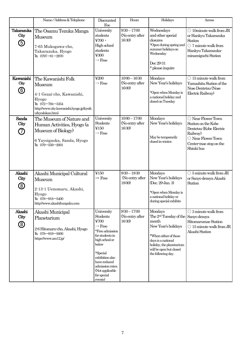|                                             | Name/Address & Telephone                                                                                                                                     | Discounted<br>Fee                                                                                                                                                                                                                     | Hours                                        | Holidays                                                                                                                                                                                                               | Access                                                                                                                                                           |
|---------------------------------------------|--------------------------------------------------------------------------------------------------------------------------------------------------------------|---------------------------------------------------------------------------------------------------------------------------------------------------------------------------------------------------------------------------------------|----------------------------------------------|------------------------------------------------------------------------------------------------------------------------------------------------------------------------------------------------------------------------|------------------------------------------------------------------------------------------------------------------------------------------------------------------|
| Takarazuka<br>City<br>$\circledS$           | The Osamu Tezuka Manga<br><b>Museum</b><br>7-65 Mukogawa-cho,<br>Takarazuka, Hyogo<br>TEL 0797-81-2970                                                       | University<br>students<br>$4700 \cdot$<br>High school<br>students<br>¥300<br>$\rightarrow$ Free                                                                                                                                       | $9:30 - 17:00$<br>(No entry after<br>16:30)  | Wednesdays<br>and other special<br>closures<br>*Open during spring and<br>summer holidays on<br>Wednesday<br>Dec 29-31<br>* please inquire                                                                             | $\bigcirc$ 10 minute walk from JR<br>or Hankyu Takarazuka<br>Station<br>$\bigcirc$ 7 minute walk from<br>Hankyu Takarazuka-<br>minamiguchi Station               |
| Kawanishi<br>City<br>$\circledS$            | The Kawanishi Folk<br><b>Museum</b><br>4-1 Gezai-cho, Kawanishi,<br>Hyogo<br>TEL 072-794-3354<br>http://www.city.kawanishi.hyogo.jp/kyoik<br>u/kyodokan.html | ¥200<br>$\rightarrow$ Free                                                                                                                                                                                                            | $10:00 - 16:30$<br>(No entry after<br>16:00) | Mondays<br>New Year's holidays<br>*Open when Monday is<br>a national holiday and<br>closed on Tuesday                                                                                                                  | $\bigcirc$ 15 minute walk from<br>Yamashita Station of the<br>Nose Dentetsu (Nose<br>Electric Railway)                                                           |
| Sanda<br>City<br>(7)                        | The Museum of Nature and<br>Human Activities, Hyogo (a<br>Museum of Biology)<br>6 Yayoigaoka, Sanda, Hyogo<br>$\text{TL}$ 079-559-2001                       | University<br><b>Students</b><br>¥150<br>$\rightarrow$ Free                                                                                                                                                                           | $10:00 - 17:00$<br>(No entry after<br>16:30) | Mondays<br>New Year's holidays<br>May be temporarily<br>closed in winter.                                                                                                                                              | $\bigcirc$ Near Flower Town<br>Station on the Kobe<br>Dentetsu (Kobe Electric<br>Railway)<br>$\bigcirc$ Near Flower Town<br>Center-mae stop on the<br>Shinki bus |
| Akashi<br>City<br>$\circledS$               | Akashi Municipal Cultural<br>Museum<br>2-13-1 Uenomaru, Akashi,<br>Hyogo<br>TEL 078-918-5400<br>http://www.akashibunpaku.com                                 | ¥150<br>$\rightarrow$ Free                                                                                                                                                                                                            | $9:30 - 18:30$<br>(No entry after<br>18:00)  | Mondays<br>New Year's holidays<br>(Dec. 29-Jan. 3)<br>*Open when Monday is<br>a national holiday or<br>during special exhibits                                                                                         | $\bigcirc$ 5 minute walk from JR<br>or Sanyo densya Akashi<br>Station                                                                                            |
| Akashi<br>City<br>$^\text{\textregistered}$ | Akashi Municipal<br>Planetarium<br>2-6 Hitomaru-cho, Akashi, Hyogo<br>TEL 078-919-5000<br>https://www.am12.jp/                                               | University<br>Students<br>¥700<br>$\rightarrow$ Free<br>*Free admission<br>for students in<br>high school or<br>below<br>*Special<br>exhibition also<br>have reduced<br>admission rates.<br>(Not applicable<br>for special<br>events) | $9:30 - 17:00$<br>(No entry after<br>16:30)  | Mondays<br>The 2 <sup>nd</sup> Tuesday of the Sanyo densya<br>month<br>New Year's holidays<br>*When either of these<br>days is a national<br>holiday, the planetarium<br>will be open but closed<br>the following day. | $\bigcirc$ 3 minute walk from<br>Hitomarumae Station<br>$\bigcirc$ 15 minute walk from JR<br>Akashi Station                                                      |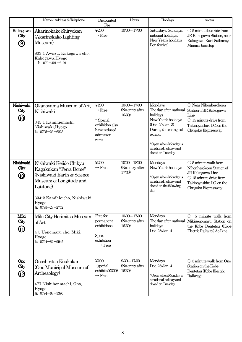|                                             | Name/Address & Telephone                                                                                                                                                             | Discounted<br>Fee                                                                                                    | Hours                                        | Holidays                                                                                                                                                                                           | Access                                                                                                                                                              |
|---------------------------------------------|--------------------------------------------------------------------------------------------------------------------------------------------------------------------------------------|----------------------------------------------------------------------------------------------------------------------|----------------------------------------------|----------------------------------------------------------------------------------------------------------------------------------------------------------------------------------------------------|---------------------------------------------------------------------------------------------------------------------------------------------------------------------|
| Kakogawa<br>City<br>$\circledS$             | Akarinokako Shiryokan<br>(Akarinokako Lighting<br>Museum)<br>803-1 Awazu, Kakogawa-cho,<br>Kakogawa, Hyogo<br>TEL 079-421-2191                                                       | ¥200<br>$\rightarrow$ Free                                                                                           | $10:00 - 17:00$                              | Saturdays, Sundays,<br>national holidays,<br>New Year's holidays<br>Bon festival                                                                                                                   | $\bigcirc$ 5 minute bus ride from<br>JR Kakogawa Station, near<br>Kakogawa Kani Saibansyo<br>Minami bus stop                                                        |
| Nishiwaki<br>City<br>$\bm{\mathbb{\Theta}}$ | Okanoyama Museum of Art,<br>Nishiwaki<br>345-1 Kamihiemachi,<br>Nishiwaki, Hyogo<br>TEL 0795-23-6223                                                                                 | $\text{\textless}\,200$<br>$\rightarrow$ Free<br>* Special<br>exhibition also<br>have reduced<br>admission<br>rates. | $10:00 - 17:00$<br>(No entry after<br>16:30) | Mondays<br>The day after national<br>holidays<br>New Year's holidays<br>(Dec. 29-Jan. 3)<br>During the change of<br>exhibit<br>*Open when Monday is<br>a national holiday and<br>closed on Tuesday | $\bigcirc$ Near Nihonhesokoen<br>Station of JR Kakogawa<br>Line<br>$\bigcirc$ 15 minute drive from<br>Takinoyashiro I.C. on the<br>Chugoku Expressway               |
| Nishiwaki<br>City<br>$\bm{\mathbb{\omega}}$ | Nishiwaki Keiido Chikyu<br>Kagakukan "Terra Dome"<br>(Nishiwaki Earth & Science<br>Museum of Longitude and<br>Latitude<br>334-2 Kamihie-cho, Nishiwaki,<br>Hyogo<br>TEL 0795-23-2772 | ¥200<br>$\rightarrow$ Free                                                                                           | $10:00 - 18:00$<br>(No entry after<br>17:30) | Mondays<br>New Year's holidays<br>*Open when Monday is<br>a national holiday and<br>closed on the following<br>day                                                                                 | $\bigcirc$ 5 minute walk from<br>Nihonhesokoen Station of<br>JR Kakogawa Line<br>$\bigcirc$ 15 minute drive from<br>Takinoyashiro I.C. on the<br>Chugoku Expressway |
| Miki<br>City<br>GD                          | Miki City Horimitsu Museum<br>of Art<br>4-5 Uenomaru-cho, Miki,<br>Hyogo<br>TEL 0794-82-9945                                                                                         | Free for<br>permanent<br>exhibitions.<br>Special<br>exhibition<br>$\rightarrow$ Free                                 | $10:00 - 17:00$<br>(No entry after<br>16:30) | Mondays<br>The day after national<br>holidays<br>Dec. 28-Jan. 4                                                                                                                                    | 5 minute walk from<br>$\left(\right)$<br>Mikiuenomaru Station on<br>the Kobe Dentetsu (Kobe)<br>Electric Railway) Ao Line                                           |
| Ono<br>City<br>⑰                            | Onoshiritsu Koukokan<br>(Ono Municipal Museum of<br>Archeaology)<br>477 Nishihonmachi, Ono,<br>Hyogo<br>TEL 0794-63-3390                                                             | ¥200<br>(special)<br>exhibits ¥300)<br>$\rightarrow$ Free                                                            | $9:30 - 17:00$<br>(No entry after<br>16:30)  | Mondays<br>Dec. 28-Jan. 4<br>*Open when Monday is<br>a national holiday and<br>closed on Tuesday                                                                                                   | $\bigcirc$ 3 minute walk from Ono<br>Station on the Kobe<br>Dentetsu (Kobe Electric<br>Railway)                                                                     |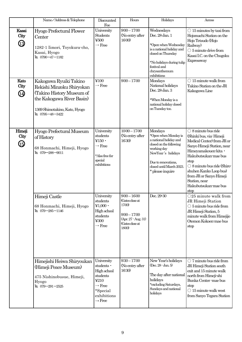|                                                     | Name/Address & Telephone                                                                                                                                           | Discounted<br>Fee                                                                                                                  | Hours                                                                                                            | Holidays                                                                                                                                                                                         | Access                                                                                                                                                                                                                                                                                                                     |
|-----------------------------------------------------|--------------------------------------------------------------------------------------------------------------------------------------------------------------------|------------------------------------------------------------------------------------------------------------------------------------|------------------------------------------------------------------------------------------------------------------|--------------------------------------------------------------------------------------------------------------------------------------------------------------------------------------------------|----------------------------------------------------------------------------------------------------------------------------------------------------------------------------------------------------------------------------------------------------------------------------------------------------------------------------|
| Kasai<br>City<br>43                                 | Hyogo Prefectural Flower<br>Center<br>1282-1 Iimori, Toyokura-cho,<br>Kasai, Hyogo<br>TEL 0790-47-1182                                                             | University<br>Students<br>¥500<br>$\rightarrow$ Free                                                                               | $9:00 - 17:00$<br>(No entry after<br>16:00)                                                                      | Wednesdays<br>Dec. 28-Jan. 1<br>*Open when Wednesday<br>is a national holiday and<br>closed on Thursday<br>*No holidays during tulip<br>festival and<br>chrysanthemum<br>exhibitions             | $\bigcirc$ 15 minutes by taxi from<br>Hojomachi Station on the<br>Hojo Tetsudo (Hojo<br>Railway)<br>$\bigcirc$ 5 minute drive from<br>Kasai I.C. on the Chugoku<br>Expressway                                                                                                                                              |
| Kato<br>City<br>$\bigcirc \hspace{-0.5ex} \bigcirc$ | Kakogawa Ryuiki Takino<br>Rekishi Minzoku Shiryokan<br>(Takino History Museum of<br>the Kakogawa River Basin)<br>1369 Shimotakino, Kato, Hyogo<br>TEL 0795-48-3422 | ¥100<br>$\rightarrow$ Free                                                                                                         | $9:00 - 17:00$                                                                                                   | Mondays<br>National holidays<br>Dec. 28-Jan. 3<br>*When Monday is a<br>national holiday closed<br>on Tuesday too.                                                                                | $\bigcirc$ 15 minute walk from<br>Takino Station on the JR<br>Kakogawa Line                                                                                                                                                                                                                                                |
| Himeji<br>City<br>$\bm{\mathbb{G}}$                 | Hyogo Prefectural Museum<br>of History<br>68 Honmachi, Himeji, Hyogo<br>TEL 079-288-9011                                                                           | University<br>students<br>¥ $150 \cdot$<br>$\rightarrow$ Free<br>*Also free for<br>special<br>exhibitions                          | $10:00 - 17:00$<br>(No entry after<br>16:30)                                                                     | Mondays<br>*Open when Monday is<br>a national holiday and<br>closed on the following<br>working day<br>NewYear's holidays<br>Due to renovations,<br>closed until March 2023.<br>* please inquire | $\bigcirc$ 8 minute bus ride<br>(Shinki bus, via: Himeji<br>Medical Center) from JR or<br>Sanyo Himeji Station, near<br>Himeyamakouen-kita ·<br>Hakubutsukan-mae bus<br>stop<br>$\bigcirc$ 8 minute bus ride (Shiro-<br>shuhen Kanko Loop bus)<br>from JR or Sanyo Himeji<br>Station, near<br>Hakubutsukan-mae bus<br>stop |
|                                                     | Himeji Castle<br>68 Honmachi, Himeji, Hyogo<br>TEL 079-285-1146                                                                                                    | University<br>students<br>$\textcolor{red}{\textbf{41,000}}\cdot$<br>High school<br>students<br>¥300<br>$\rightarrow$ Free         | $9:00 - 16:00$<br>(Gates close at<br>17:00)<br>$9:00 - 17:00$<br>(Apr. 27 - Aug. 31)<br>(Gates close at<br>1800) | Dec. 29-30                                                                                                                                                                                       | $\bigcirc$ 25 minute walk from<br>JR Himeji Station<br>$\bigcirc$ 5 minute bus ride from<br>JR Himeji Station, 5<br>minute walk from Himejijo<br>Otemon Kokoen-mae bus<br>stop                                                                                                                                             |
|                                                     | Himejishi Heiwa Shiryoukan<br>(Himeji Peace Museum)<br>475 Nishinobusue, Himeji,<br>Hyogo<br>TEL 079-291-2525                                                      | University<br>students ·<br>High school<br>students<br>¥210<br>$\rightarrow$ Free<br>*Special<br>exhibitions<br>$\rightarrow$ Free | $9:30 - 17:00$<br>(No entry after<br>16:30)                                                                      | New Year's holidays<br>$(Dec. 28 - Jan. 5)$<br>The day after national<br>holidays<br>*excluding Saturdays,<br>Sundays and national<br>holidays                                                   | $\bigcirc$ 7 minute bus ride from<br>JR Himeji Station south<br>exit and 15 minute walk<br>north from Himeji-shi<br>Bunka Center-mae bus<br>stop<br>$\bigcirc$ 15 minute walk west<br>from Sanyo Tegara Station                                                                                                            |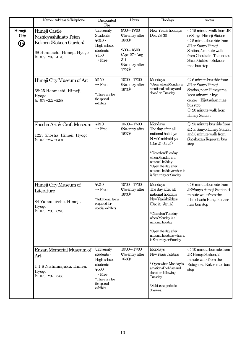|                     | Name/Address & Telephone                                                                                            | Discounted<br>Fee                                                                                                                           | Hours                                                                                                                | Holidays                                                                                                                                                                                                                                         | Access                                                                                                                                                                                                                |
|---------------------|---------------------------------------------------------------------------------------------------------------------|---------------------------------------------------------------------------------------------------------------------------------------------|----------------------------------------------------------------------------------------------------------------------|--------------------------------------------------------------------------------------------------------------------------------------------------------------------------------------------------------------------------------------------------|-----------------------------------------------------------------------------------------------------------------------------------------------------------------------------------------------------------------------|
| Himeji<br>City<br>⊕ | Himeji Castle<br>Nishioyashikiato Teien<br>Kokoen (Kokoen Garden)<br>68 Honmachi, Himeji, Hyogo<br>TEL 079-289-4120 | University<br>Students<br>$\overline{4310}$ .<br>High school<br>students<br>¥150<br>$\rightarrow$ Free                                      | $9:00 - 17:00$<br>(No entry after<br>16:30)<br>$9:00 - 18:00$<br>(Apr. 27 - Aug.<br>31)<br>(No entry after<br>17:30) | New Year's holidays<br>Dec. 29, 30                                                                                                                                                                                                               | $\bigcirc$ 15 minute walk from JR<br>or Sanyo Himeji Station<br>$\bigcirc$ 5 minute bus ride from<br>JR or Sanyo Himeji<br>Station, 5 minute walk<br>from Choukaku Tokubetsu<br>Shien Gakko · Kokoen-<br>mae bus stop |
|                     | Himeji City Museum of Art<br>68-25 Honmachi, Himeji,<br>Hyogo<br>TEL 079-222-2288                                   | ¥150<br>$\rightarrow$ Free<br>*There is a fee<br>for special<br>exhibits                                                                    | $10:00 - 17:00$<br>(No entry after<br>16:30)                                                                         | Mondays<br>*Open when Monday is<br>a national holiday and<br>closed on Tuesday                                                                                                                                                                   | $\bigcirc$ 6 minute bus ride from<br>JR or Sanyo Himeji<br>Station, near Himeyama<br>koen minami · Iryo<br>center · Bijutsukan-mae<br>bus stop<br>$\bigcirc$ 20 minute walk from<br>Himeji Station                    |
|                     | Shosha Art & Craft Museum<br>1223 Shosha, Himeji, Hyogo<br>TEL 079-267-0301                                         | ¥210<br>$\rightarrow$ Free                                                                                                                  | $10:00 - 17:00$<br>(No entry after<br>16:30)                                                                         | Mondays<br>The day after all<br>national holidays<br>New Year's holidays<br>$(Dec.25 \text{-} Jan.5)$<br>*Closed on Tuesday<br>when Monday is a<br>national holiday<br>*Open the day after<br>national holidays when it<br>is Saturday or Sunday | $\bigcirc$ 25 minute bus ride from<br>JR or Sanyo Himeji Station<br>and 3 minute walk from<br>Shoshazan Ropeway bus<br>stop                                                                                           |
|                     | Himeji City Museum of<br>Literature<br>84 Yamanoi-cho, Himeji,<br>Hyogo<br>TEL 079-293-8228                         | ¥210<br>$\rightarrow$ Free<br>*Additional fee is<br>required for<br>special exhibits                                                        | $10:00 - 17:00$<br>(No entry after<br>16:30)                                                                         | Mondays<br>The day after all<br>national holidays<br>New Year's holidays<br>$(Dec.25 \cdot Jan.5)$<br>*Closed on Tuesday<br>when Monday is a<br>national holiday<br>*Open the day after<br>national holidays when it<br>is Saturday or Sunday    | $\bigcirc$ 6 minute bus ride from<br>JR/Sanyo Himeji Station, 4<br>minute walk from the<br>Ichinohashi Bungakukan-<br>mae bus stop                                                                                    |
|                     | Enzan Memorial Museum of<br>Art<br>1-1-8 Nishiimajuku, Himeji,<br>Hyogo<br>TEL 079-292-3433                         | University<br>students ·<br>High school<br>students<br>$\frac{1}{2}500$<br>$\rightarrow$ Free<br>*There is a fee<br>for special<br>exhibits | $10:00 - 17:00$<br>(No entry after<br>16:30)                                                                         | Mondays<br>New Year's holidays<br>* Open when Monday is<br>a national holiday and<br>closed on following<br>Tuesday<br>*Subject to periodic<br>closures.                                                                                         | $\bigcirc$ 10 minute bus ride from<br>JR Himeji Station, 2<br>minute walk from the<br>Kotogaoka Koko - mae bus<br>stop                                                                                                |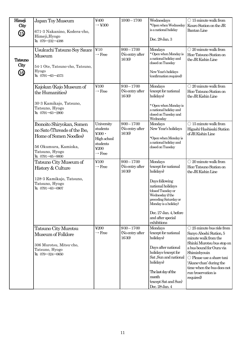| Himeji<br>City<br>⊕          | Japan Toy Museum<br>671-3 Nakanino, Kodera-cho,<br>Himeji, Hyogo<br>TEL 079-232-4388                                                                      | ¥400<br>$\rightarrow$ ¥300                                                                                                    | $10:00 - 17:00$                             | Wednesdays<br>*Open when Wednesday<br>is a national holiday<br>Dec. 28-Jan. 3                                                                                                                                                                | $\bigcirc$ 15 minute walk from<br>Kouro Station on the JR<br><b>Bantan Line</b>                                                                                                                                                                                                                    |
|------------------------------|-----------------------------------------------------------------------------------------------------------------------------------------------------------|-------------------------------------------------------------------------------------------------------------------------------|---------------------------------------------|----------------------------------------------------------------------------------------------------------------------------------------------------------------------------------------------------------------------------------------------|----------------------------------------------------------------------------------------------------------------------------------------------------------------------------------------------------------------------------------------------------------------------------------------------------|
| Tatsuno<br>City<br><b>60</b> | Usukuchi Tatsuno Soy Sauce<br>Museum<br>54-1 Ote, Tatsuno-cho, Tatsuno,<br>Hyogo<br>$\text{EL}$ 0791-63-4573                                              | ¥10<br>$\rightarrow$ Free                                                                                                     | $9:00 - 17:00$<br>(No entry after<br>16:30) | Mondays<br>* Open when Monday is<br>a national holiday and<br>closed on Tuesday<br>New Year's holidays<br>(confirmation required)                                                                                                            | $\bigcirc$ 20 minute walk from<br>Hon-Tatsuno Station on<br>the JR Kishin Line                                                                                                                                                                                                                     |
|                              | Kajokan (Kajo Museum of<br>the Humanities)<br>30-3 Kamikajo, Tatsuno,<br>Tatsuno, Hyogo<br>TEL 0791-63-2900                                               | ¥100<br>$\rightarrow$ Free                                                                                                    | $9:30 - 17:00$<br>(No entry after<br>16:30) | Mondays<br>(except for national<br>holidays)<br>* Open when Monday is<br>a national holiday and<br>closed on Tuesday and<br>Wednesday                                                                                                        | $\bigcirc$ 20 minute walk from<br>Hon-Tatsuno Station on<br>the JR Kishin Line                                                                                                                                                                                                                     |
|                              | Ibonoito Shiryokan, Somen<br>no Sato (Threads of the Ibo,<br>Home of Somen Noodles)<br>56 Okumura, Kamioka,<br>Tatsuno, Hyogo<br>$\text{TL}$ 0791-65-9000 | University<br>students<br>$\text{\textless}\,300$<br>High school<br>students<br>$\text{\textless}\,200$<br>$\rightarrow$ Free | $9:00 - 17:00$<br>(No entry after<br>16:30) | Mondays<br>New Year's holidays<br>*Open when Monday is<br>a national holiday and<br>closed on Tuesday                                                                                                                                        | $\bigcirc$ 15 minute walk from<br>Higashi-Hashisaki Station<br>of JR Kishin Line                                                                                                                                                                                                                   |
|                              | Tatsuno City Museum of<br>History & Culture<br>128-3 Kamikajo, Tatsuno,<br>Tatsuno, Hyogo<br>TEL 0791-63-0907                                             | ¥100<br>$\rightarrow$ Free                                                                                                    | $9:00 - 17:00$<br>(No entry after<br>16:30) | Mondays<br>(except for national<br>holidays)<br>Days following<br>national holidays<br>(closed Tuesday or<br>Wednesday if the<br>preceding Saturday or<br>Monday is a holiday)<br>Dec. 27-Jan. 4, before<br>and after special<br>exhibitions | $\bigcirc$ 20 minute walk from<br>Hon-Tatsuno Station on<br>the JR Kishin Line                                                                                                                                                                                                                     |
|                              | Tatsuno City Murotsu<br>Museum of Folklore<br>306 Murotsu, Mitsu-cho,<br>Tatsuno, Hyogo<br>TEL 079-324-0650                                               | ¥200<br>$\rightarrow$ Free                                                                                                    | $9:30 - 17:00$<br>(No entry after<br>16:30  | Mondays<br>(except for national<br>holidays)<br>Days after national<br>holidays (except for<br>Sat, Sun and national<br>holidays)<br>The last day of the<br>month<br>(except Sat and Sun)<br>Dec. 28-Jan. 4                                  | $\bigcirc$ 25 minute bus ride from<br>Sanyo Aboshi Station, 5<br>minute walk from the<br>Shinki Murotsu bus stop on<br>a bus bound for Oura via<br>Shiminbyouin<br>$\bigcirc$ Please use a share taxi<br>'Akane-chan' during the<br>time when the bus does not<br>run (reservation is<br>required) |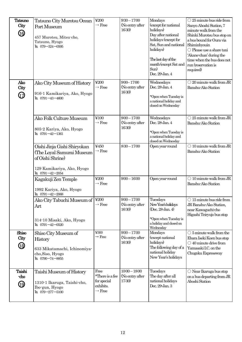| <b>Tatsuno</b><br>City<br><b>6</b> | Tatsuno City Murotsu Ocean<br>Port Museum<br>457 Murotsu, Mitsu-cho,<br>Tatsuno, Hyogo<br>TEL 079-324-0595                     | $\yen 200$<br>$\rightarrow$ Free<br>$\yen$ 200                            | $9:30 - 17:00$<br>(No entry after<br>16:30)<br>$9:00 - 17:00$ | Mondays<br>(except for national<br>holidays)<br>Day after national<br>holidays (except for<br>Sat, Sun and national<br>holidays)<br>The last day of the<br>month (except Sat and<br>Sun)<br>Dec. 29-Jan. 4 | $\bigcirc$ 25 minute bus ride from<br>Sanyo Aboshi Station, 7<br>minute walk from the<br>Shinki Murotsu bus stop on<br>a bus bound for Oura via<br>Shiminbyouin<br>$\bigcirc$ Please use a share taxi<br>'Akane-chan' during the<br>time when the bus does not<br>run (reservation is<br>required)<br>$\bigcirc$ 20 minute walk from JR |
|------------------------------------|--------------------------------------------------------------------------------------------------------------------------------|---------------------------------------------------------------------------|---------------------------------------------------------------|------------------------------------------------------------------------------------------------------------------------------------------------------------------------------------------------------------|-----------------------------------------------------------------------------------------------------------------------------------------------------------------------------------------------------------------------------------------------------------------------------------------------------------------------------------------|
| Ako<br>City<br>$\bigcirc$          | Ako City Museum of History<br>916-1 Kamikariya, Ako, Hyogo<br>TEL 0791-43-4600                                                 | $\rightarrow$ Free                                                        | (No entry after<br>16:30)                                     | Wednesdays<br>Dec. 28-Jan. 4<br>*Open when Tuesday is<br>a national holiday and<br>closed on Wednesday                                                                                                     | Banshu-Ako Station                                                                                                                                                                                                                                                                                                                      |
|                                    | Ako Folk Culture Museum<br>805-2 Kariya, Ako, Hyogo<br>$\text{EL}$ 0791-42-1361                                                | ¥100<br>$\rightarrow$ Free                                                | $9:00 - 17:00$<br>(No entry after<br>16:30)                   | Wednesdays<br>Dec. 28-Jan. 4<br>*Open when Tuesday is<br>a national holiday and<br>closed on Wednesday                                                                                                     | $\bigcirc$ 25 minute walk from JR<br>Banshu-Ako Station                                                                                                                                                                                                                                                                                 |
|                                    | Oishi Jinja Gishi Shiryokan<br>(The Loyal Samurai Museum<br>of Oishi Shrine)<br>129 Kamikariya, Ako, Hyogo<br>TEL 0791-42-2054 | ¥450<br>$\rightarrow$ Free                                                | $8:30 - 17:00$                                                | Open year-round                                                                                                                                                                                            | $\bigcirc$ 10 minute walk from JR<br>Banshu-Ako Station                                                                                                                                                                                                                                                                                 |
|                                    | Kagakuji Zen Temple<br>1992 Kariya, Ako, Hyogo<br>TEL 0791-42-2068                                                             | ¥200<br>$\rightarrow$ Free                                                | $9:00 - 16:00$                                                | Open year-round                                                                                                                                                                                            | $\bigcirc$ 10 minute walk from JR<br>Banshu-Ako Station                                                                                                                                                                                                                                                                                 |
|                                    | Ako City Tabuchi Museum of<br>Art<br>314-10 Misaki, Ako, Hyogo<br>TEL 0791-42-0520                                             | $\textcolor{blue}{\boldsymbol{\mathfrak{200}}}$<br>$\rightarrow$ Free     | $9:00-17:00$<br>(No entry after<br>16:30)                     | Tuesdays<br>New Year's holidays<br>(Dec. 28-Jan. 4)<br>*Open when Tuesday is<br>a holiday and closed on<br>Wednesday                                                                                       | $\bigcirc$ 15 minute bus ride from<br>JR Banshu-Ako Station,<br>near Kawaguchi-cho<br>Higashi Teiryujo bus stop                                                                                                                                                                                                                         |
| Shiso<br>City<br>(B)               | Shiso City Museum of<br>History<br>633 Mikatamachi, Ichinomiya-<br>cho, Siso, Hyogo<br>TEL 0790-74-8855                        | ¥300<br>$\rightarrow$ Free                                                | $9:00 - 17:00$<br>(No entry after<br>16:30)                   | Mondays<br>(except national<br>holidays)<br>The following day of a<br>national holiday<br>New Year's holidays                                                                                              | $\bigcirc$ 5 minute walk from the<br>Ebara Iseki Koen bus stop<br>$\bigcirc$ 40 minute drive from<br>Yamasaki I.C. on the<br>Chugoku Expressway                                                                                                                                                                                         |
| Taishi<br>cho<br>9                 | Taishi Museum of History<br>1310-1 Ikaruga, Taishi-cho,<br>Ibo-gun, Hyogo<br>TEL $079 - 277 - 5100$                            | Free<br>*There is a fee<br>for special<br>exhibits.<br>$\rightarrow$ Free | $10:00 - 18:00$<br>(No entry after<br>17:30)                  | Tuesdays<br>The day after all<br>national holidays<br>Dec. 29-Jan. 3                                                                                                                                       | $\bigcirc$ Near Ikaruga bus stop<br>on a bus departing from JR<br>Aboshi Station                                                                                                                                                                                                                                                        |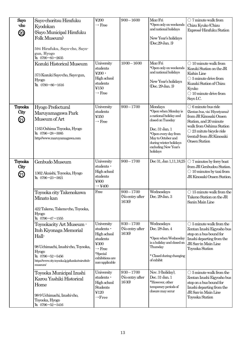| Sayo<br>-cho<br>20     | Sayo-choritsu Hirafuku<br>Kyodokan<br>(Sayo Municipal Hirafuku<br><b>Folk Museum</b> )<br>594 Hirafuku, Sayo-cho, Sayo-<br>gun, Hyogo<br>TEL 0790-83-2635<br>Kozuki Historical Museum               | ¥200<br>$\rightarrow$ Free<br>University                                                                                           | $9:00 - 16:00$<br>$10:00 - 16:00$           | Mon-Fri<br>*Open only on weekends<br>and national holidays<br>New Year's holidays<br>(Dec.29-Jan. 3)<br>Mon-Fri                                                                                              | $\bigcirc$ 7 minute walk from<br>Chizu Kyuko (Chizu<br>Express) Hirafuku Station<br>$\bigcirc$ 10 minute walk from                                                                                                                      |
|------------------------|-----------------------------------------------------------------------------------------------------------------------------------------------------------------------------------------------------|------------------------------------------------------------------------------------------------------------------------------------|---------------------------------------------|--------------------------------------------------------------------------------------------------------------------------------------------------------------------------------------------------------------|-----------------------------------------------------------------------------------------------------------------------------------------------------------------------------------------------------------------------------------------|
|                        | 373 Kozuki Sayo-cho, Sayo-gun,<br><b>Hyogo</b><br>TEL 0790-86-1616                                                                                                                                  | students<br>$\frac{1}{200}$ .<br>High school<br>students<br>¥150<br>$\rightarrow$ Free                                             |                                             | *Open only on weekends<br>and national holidays<br>New Year's holidays<br>(Dec. 29-Jan. 3)                                                                                                                   | Kozuki Station on the JR<br>Kishin Line<br>$\bigcirc$ 5 minute drive from<br>Kuzaki Station of Chizu<br>Kyuko<br>$\bigcirc$ 10 minute drive from<br>Sayo I.C.                                                                           |
| Toyooka<br>City<br>21) | Hyogo Prefectural<br>Maruyamagawa Park<br>Museum of Art<br>1163 Oshima Toyooka, Hyogo<br>TEL 0796-28-3085<br>http://www.maruyamagawa.com                                                            | University<br>students<br>¥350<br>$\rightarrow$ Free                                                                               | $9:00 - 17:00$                              | Mondays<br>*Open when Monday is<br>a national holiday and<br>closed on Tuesday<br>Dec. 31-Jan. 1<br>*Open every day from<br>May to October and<br>during winter holidays<br>excluding New Year's<br>holidays | $\bigcirc$ 6 minute bus ride<br>(Zentan bus, via: Hiyoriyama)<br>from JR Kinosaki Onsen<br>Station, and 20 minute<br>walk from Oshima Station<br>$\bigcirc$ 23 mitute bicycle ride<br>(rental) from JR Kinosaki<br><b>Onsen Station</b> |
| Toyooka<br>City<br>Q)  | Genbudo Museum<br>1362 Akaishi, Toyooka, Hyogo<br>TEL 0796-23-3821                                                                                                                                  | University<br>students ·<br>High school<br>students<br>¥800<br>$\rightarrow$ ¥400                                                  | $9:00 - 17:00$                              | Dec 31, Jan 1, 11, 18, 25                                                                                                                                                                                    | $\bigcirc$ 7 minutes by ferry boat<br>from JR Genbudou Station.<br>$\bigcirc$ 10 minutes by taxi from<br>JR Kinosaki Onsen Station.                                                                                                     |
|                        | Toyooka city Takenokawa<br>Minato kan<br>422 Takeno, Takeno-cho, Toyooka,<br><b>Hyogo</b><br>TEL $0796 - 47 - 1555$                                                                                 | Free                                                                                                                               | $9:00 - 17:00$<br>(No entry after<br>16:30) | Wednesdays<br>Dec. 29-Jan. 3                                                                                                                                                                                 | $\bigcirc$ 15 minute walk from the<br>Takeno Station on the JR<br>Sanin Main Line                                                                                                                                                       |
|                        | Toyookacity Art Museum -<br>Itoh Kiyonaga Memorial<br>Hall-<br>98 Uchimachi, Izushi-cho, Toyooka,<br><b>Hyogo</b><br>TEL 0796-52-5456<br>https://www.city.toyooka.lg.jp/kanko/miru/itoh-<br>museum/ | University<br>students •<br>High school<br>students<br>¥300<br>$\rightarrow$ Free<br>*Special<br>exhibitions are<br>non-applicable | $9:30 - 17:00$<br>(No entry after<br>16:30  | Wednesdays<br>Dec. 28-Jan. 4<br>*Open when Wednesday<br>is a holiday and closed on<br>Thursday<br>* Closed during changing<br>of exhibit                                                                     | $\bigcirc$ 5 minute walk from the<br>Zentan Izushi Eigyosho bus<br>stop on a bus bound for<br>Izushi departing from the<br>JR San-in Main Line<br>Toyooka Station                                                                       |
|                        | Toyooka Municipal Izushi<br>Karou Yashiki Historical<br>Home<br>98-9 Uchimachi, Izushi-cho,<br>Toyooka, Hyogo<br>TEL 0796-52-3416                                                                   | University<br>students ·<br>High school<br><b>Students</b><br>¥120<br>$\rightarrow$ Free                                           | $9:30 - 17:00$<br>(No entry after<br>16:30) | Nov. 3 (holiday),<br>Dec. 31-Jan. 1<br>*However, other<br>temporary periods of<br>closure may occur                                                                                                          | $\bigcirc$ 5 minute walk from the<br>Zentan Izushi Eigyosho bus<br>stop on a bus bound for<br>Izushi departing from the<br>JR San-in Main Line<br>Toyooka Station                                                                       |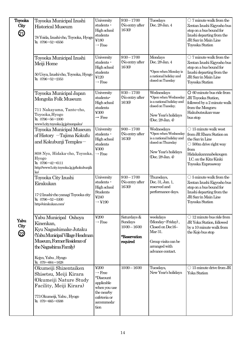| Toyooka | Toyooka Municipal Izushi                  | University               | $9:30 - 17:00$                    | Tuesdays                                    | $\bigcirc$ 7 minute walk from the                          |
|---------|-------------------------------------------|--------------------------|-----------------------------------|---------------------------------------------|------------------------------------------------------------|
| City    | <b>Historical Museum</b>                  | students ·               | (No entry after                   | Dec. 28-Jan. 4                              | Zentan Izushi Eigyosho bus                                 |
| Q)      |                                           | High school              | 16:30)                            |                                             | stop on a bus bound for                                    |
|         | 78 Yoida, Izushi-cho, Toyooka, Hyogo      | students<br>¥180         |                                   |                                             | Izushi departing from the<br>JR San-in Main Line           |
|         | TEL 0796-52-6556                          | $\rightarrow$ Free       |                                   |                                             | Toyooka Station                                            |
|         |                                           |                          |                                   |                                             |                                                            |
|         | Toyooka Municipal Izushi                  | University               | $9:30 - 17:00$                    | Mondays                                     | $\bigcirc$ 7 minute walk from the                          |
|         | Meiji Home                                | students ·               | (No entry after                   | Dec. 28-Jan. 4                              | Zentan Izushi Eigyosho bus                                 |
|         |                                           | High school              | 16:30)                            |                                             | stop on a bus bound for                                    |
|         | 50 Uoya, Izushi-cho, Toyooka, Hyogo       | students                 |                                   | *Open when Monday is                        | Izushi departing from the                                  |
|         | TEL $0796 - 52 - 2353$                    | ¥120                     |                                   | a national holiday and<br>closed on Tuesday | JR San-in Main Line                                        |
|         |                                           | $\rightarrow$ Free       |                                   |                                             | Toyooka Station                                            |
|         | Toyooka Municipal Japan                   | University               | $9:30 - 17:00$                    | Wednesdays                                  | $O$ 60 minute bus ride from                                |
|         | Mongolia Folk Museum                      | students <sup>.</sup>    | (No entry after                   | *Open when Wednesday                        | JR Toyooka Station,                                        |
|         |                                           | High school              | 16:30)                            | is a national holiday and                   | followed by a 2 minute walk                                |
|         | 711 Nakayama, Tanto-cho,                  | students                 |                                   | closed on Tuesday.                          | from the Mongoru                                           |
|         | Toyooka, Hyogo                            | ¥300                     |                                   | New Year's holidays                         | Hakubutsukan-mae                                           |
|         | TEL 0796-56-1000                          | $\rightarrow$ Free       |                                   | (Dec. 28-Jan. 4)                            | bus stop                                                   |
|         | www3.city.toyooka.lg.jp/monpaku/          |                          |                                   |                                             |                                                            |
|         | Toyooka Municipal Museum                  | University<br>students · | $9:00 - 17:00$<br>(No entry after | Wednesdays<br>*Open when Wednesday          | $\bigcirc$ 15 minute walk west<br>from JR Ebara Station on |
|         | of History - Tajima Kokufu                | High school              | 16:30)                            | is a national holiday and                   | the San-in Line                                            |
|         | and Kokubunji Temples-                    | students                 |                                   | closed on Thursday                          | $\bigcirc$ 500m drive right way                            |
|         |                                           | ¥300                     |                                   |                                             | from                                                       |
|         | 808 Nyo, Hidaka-cho, Toyooka,             | $\rightarrow$ Free       |                                   | New Year's holidays<br>(Dec. 28-Jan. 4)     | Hidakakannnabekougen                                       |
|         | Hyogo<br>TEL 0796-42-6111                 |                          |                                   |                                             | I.C. on the Kita-Kinki                                     |
|         | http://www3.city.toyooka.lg.jp/kokubunjik |                          |                                   |                                             | Toyooka Expressway                                         |
|         | $k$ o                                     |                          |                                   |                                             |                                                            |
|         | Toyooka City Izushi                       | University               | $9:30 - 17:00$                    | Thursdays,                                  | $\bigcirc$ 5 minute walk from the                          |
|         | Eirakukan                                 | students ·               | (No entry after                   | Dec. 31, Jan. 1,                            | Zentan Izushi Eigyosho bus                                 |
|         |                                           | High school              | 16:30)                            | reserved and<br>performance days.           | stop on a bus bound for                                    |
|         | 17-2 Izushi-cho yanagi Toyooka city       | Students<br>¥240         |                                   |                                             | Izushi departing from the<br>JR San-in Main Line           |
|         | TEL 0796-52-5300                          | $\rightarrow$ ¥190       |                                   |                                             | Toyooka Station                                            |
|         | http://eirakukan.com/                     |                          |                                   |                                             |                                                            |
|         |                                           | ¥200                     | Saturdays &                       | weekdays                                    | $\bigcirc$ 12 minute bus ride from                         |
| Yabu    | Yabu Municipal Oshoya                     | $\rightarrow$ Free       | Sundays                           | (Monday~Friday),                            | JR Yoka Station, followed                                  |
| City    | Kinenkan,                                 |                          | $10:00 - 16:00$                   | Closed on Dec16-                            | by a 10 minute walk from                                   |
| ▨       | Kyu Nagashimake Jutaku                    |                          |                                   | Mar 31.                                     | the Kojo bus stop                                          |
|         | <b>Yabu Municipal Village Headman</b>     |                          | *Reservation                      |                                             |                                                            |
|         | Museum, Former Residence of               |                          | required                          | Group visits can be                         |                                                            |
|         | the Nagashima Family)                     |                          |                                   | arranged with<br>advance contact.           |                                                            |
|         | Kojyo, Yabu, Hyogo                        |                          |                                   |                                             |                                                            |
|         | TEL 079-664-1628                          |                          |                                   |                                             |                                                            |
|         | Okumeiji Shizentaiken                     | ¥200                     | $10:00 - 16:00$                   | Tuesdays,                                   | $\bigcirc$ 15 minute drive from JR                         |
|         | Shisetsu, Meiji Kirara                    | $\rightarrow$ Free       |                                   | New Year's holidays                         | Yoka Station                                               |
|         | (Okumeiji Nature Study                    | *Discount<br>applicable  |                                   |                                             |                                                            |
|         | Facility, Meiji Kirara)                   | when you use             |                                   |                                             |                                                            |
|         |                                           | the nearby               |                                   |                                             |                                                            |
|         | 773 Okumeiji, Yabu, Hyogo                 | cafeteria or             |                                   |                                             |                                                            |
|         | TEL 079-665-0588                          | accommoda-               |                                   |                                             |                                                            |
|         |                                           | tion                     |                                   |                                             |                                                            |
|         |                                           |                          |                                   |                                             |                                                            |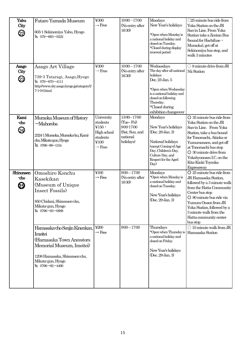| Yabu<br>City<br>②       | Futaro Yamada Museum<br>605-1 Sekinomiya Yabu, Hyogo<br>TEL 079-663-5522                                                                                                      | ¥300<br>$\rightarrow$ Free                                                                       | $10:00 - 17:00$<br>(No entry after<br>16:30)                                          | Mondays<br>New Year's holidays<br>*Open when Monday is<br>a national holiday and<br>closed on Tuesday.<br>*Closed during display<br>renewal period                                                         | $\bigcirc$ 25 minute bus ride from<br>Yoka Station on the JR<br>San-in Line. From Yoka<br>Station take a Zentan Bus<br>(bound for Hachifuse ·<br>Muraoka), get off at<br>Sekinomiya bus stop, and<br>walk 3 minutes                                                                                                       |
|-------------------------|-------------------------------------------------------------------------------------------------------------------------------------------------------------------------------|--------------------------------------------------------------------------------------------------|---------------------------------------------------------------------------------------|------------------------------------------------------------------------------------------------------------------------------------------------------------------------------------------------------------|---------------------------------------------------------------------------------------------------------------------------------------------------------------------------------------------------------------------------------------------------------------------------------------------------------------------------|
| Asago<br>City<br>②      | Asago Art Village<br>739-3 Tataragi, Asago, Hyogo<br>TEL 079-670-4111<br>http://www.city.asago.hyogo.jp/category/2-<br>$7-1-0-0.html$                                         | ¥300<br>$\rightarrow$ Free                                                                       | $10:00 - 17:00$<br>(No entry after<br>16:30)                                          | Wednesdays<br>The day after all national<br>holidays<br>Dec. 25-Jan. 5<br>*Open when Wednesday<br>is a national holiday and<br>closed on following<br>Thursday.<br>*Closed during<br>exhibition changeover | $\bigcirc$ 8 minute drive from JR<br>Nii Station                                                                                                                                                                                                                                                                          |
| Kami<br>-cho<br>4       | Muraoka Museum of History<br>-Mahoroba<br>2324-1 Muraoka, Muraoka-ku, Kami-<br>cho, Mikata-gun, Hyogo<br>TEL 0796-98-1154                                                     | University<br>students<br>¥ $150 \cdot$<br>High school<br>students<br>¥100<br>$\rightarrow$ Free | $13:00 - 17:00$<br>(Tue-Fri)<br>9:00-17:00<br>(Sat, Sun, and<br>national<br>holidays) | Mondays<br>New Year's holidays<br>(Dec. 28-Jan. 3)<br>National holidays<br>(except Coming of Age<br>Day, Children's Day,<br>Culture Day, and<br>Respect for the Aged<br>Day)                               | $O$ 35 minute bus ride from<br>Yoka Station on the JR<br>San-in Line. From Yoka<br>Station, take a bus bound<br>for Tonomachi, Akioka or<br>Yumuraonsen, and get off<br>at Tonomachi bus stop<br>$O$ 30 minute drive from<br>Yokahyonosen I.C. on the<br>Kita-Kinki Toyooka<br><b>Expressway</b>                          |
| Shinonsen<br>-cho<br>හි | Omoshiro Konchu<br>Kasekikan<br>(Museum of Unique<br>Insect Fossils)<br>850 Chidani, Shinonsen-cho,<br>Mikata-gun, Hyogo<br>TEL 0796-93-0888<br>Hamasaka cho Senjin Kinenkan, | ¥100<br>$\rightarrow$ Free<br>$\yen$ 200                                                         | $9:00 - 17:00$<br>(No entry after<br>16:30)<br>$9:00 - 17:00$                         | Mondays<br>*Open when Monday is<br>a national holiday and<br>closed on Tuesday.<br>New Year's holidays<br>(Dec. 29-Jan. 3)<br>Thursdays                                                                    | $O$ 25 minute bus ride from<br>JR Hamasaka Station,<br>followed by a 3 minute walk<br>from the Hatta Community<br>Center bus stop<br>O 80 minute bus ride via<br>Yumura Onsen from JR<br>Yoka Station, followed by a<br>3 minute walk from the<br>Hatta community center<br>bus stop<br>$\bigcirc$ 10 minute walk from JR |
|                         | Imeitei<br>(Hamasaka Town Ancestors<br>Memorial Museum, Imeitei<br>1208 Hamasaka, Shinonsen-cho,<br>Mikata-gun, Hyogo<br>TEL 0796-82-4490                                     | $\rightarrow$ Free                                                                               |                                                                                       | *Open when Thursday is<br>a national holiday and<br>closed on Friday.<br>New Year's holidays<br>(Dec. 29-Jan. 3)                                                                                           | Hamasaka Station                                                                                                                                                                                                                                                                                                          |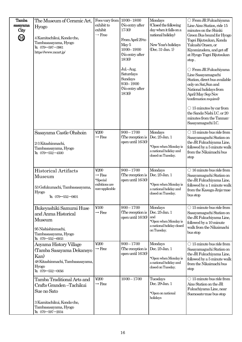| <b>Tamba</b><br>sasayama<br>City<br>20 | The Museum of Ceramic Art,<br><b>Hyogo</b><br>4 Kamitachikui, Konda-cho,<br>Tambasasayama, Hyogo<br>TEL 079-597-3961<br>https://www.mcart.jp/  | Fees vary from<br>exhibit to<br>exhibit<br>$\rightarrow$ Free              | $10:00 - 18:00$<br>(No entry after<br>17:30)<br>From April 29 to<br>May 5<br>$10:00 - 19:00$<br>(No entry after<br>18:30)<br>Jul.-Aug.<br>Saturdays<br>Sundays<br>$9:30 - 19:00$<br>(No entry after<br>18:30) | Mondays<br>(Closed the following<br>day when it falls on a<br>national holiday)<br>New Year's holidays<br>$(Dec. 31$ -Jan. $1)$ | ○ From JR Fukuchiyama<br>Line Aino Station, ride 15<br>minutes on the Shinki<br>Green Bus bound for Hyogo<br>Togei Bijutsukan, Konda<br>Yakushi Onsen, or<br>Kiyomizudera, and get off<br>at Hyogo Togei Bijutsukan<br>stop.<br>○ From JR Fukuchiyama<br>Line Sasayamaguchi<br>Station, direct bus available<br>only on Sat, Sun and<br>National holidays from<br>April-May Sep-Nov<br>(confirmation required)<br>$\bigcirc$ 15 minutes by car from<br>the Sanda-Nishi I.C. or 20<br>minutes from the Tannan-<br>Sasayamaguchi I.C. |
|----------------------------------------|------------------------------------------------------------------------------------------------------------------------------------------------|----------------------------------------------------------------------------|---------------------------------------------------------------------------------------------------------------------------------------------------------------------------------------------------------------|---------------------------------------------------------------------------------------------------------------------------------|-------------------------------------------------------------------------------------------------------------------------------------------------------------------------------------------------------------------------------------------------------------------------------------------------------------------------------------------------------------------------------------------------------------------------------------------------------------------------------------------------------------------------------------|
|                                        | Sasayama Castle Ohshoin<br>2-3 Kitashinmachi,<br>Tambasasayama, Hyogo<br>TEL 079-552-4500                                                      | $\text{\yen}200$<br>$\rightarrow$ Free                                     | $9:00 - 17:00$<br>(The reception is<br>open until 16:30)                                                                                                                                                      | Mondays<br>Dec. 25-Jan. 1<br>*Open when Monday is<br>a national holiday and<br>closed on Tuesday.                               | $\bigcirc$ 15 minute bus ride from<br>Sasayamaguchi Station on<br>the JR Fukuchiyama Line,<br>followed by a 5 minute walk<br>from the Nikaimachi bus<br>stop                                                                                                                                                                                                                                                                                                                                                                        |
|                                        | Historical Artifacts<br>Museum<br>53 Gofukumachi, Tambasasayama,<br><b>Hyogo</b><br>TEL $079 - 552 - 0601$                                     | ¥200<br>$\rightarrow$ Free<br>*Special<br>exibitions are<br>non-applicable | $9:00 - 17:00$<br>(The reception is<br>open until 16:30)                                                                                                                                                      | Mondays<br>Dec. 25-Jan. 1<br>*Open when Monday is<br>a national holiday and<br>closed on Tuesday.                               | $\bigcirc$ 16 minute bus ride from<br>Sasayamaguchi Station on<br>the JR Fukuchiyama Line,<br>followed by a 1 minute walk<br>from the Kasuga Jinja-mae<br>bus stop                                                                                                                                                                                                                                                                                                                                                                  |
|                                        | Bukeyashiki Samurai Huse<br>and Anma Historical<br>Museum<br>95 Nishishinmachi,<br>Tambasasayama, Hyogo<br>TEL 079-552-6933                    | ¥100<br>$\rightarrow$ Free                                                 | $9:00 - 17:00$<br>(The reception is<br>open until 16:30)                                                                                                                                                      | Mondays<br>Dec. 25 Jan. 1<br>and<br>*Open when Monday is<br>a national holiday closed<br>on Tuesday.                            | $\bigcirc$ 15 minute bus ride from<br>Sasayamaguchi Station on<br>the JR Fukuchiyama Line,<br>followed by a 10 minute<br>walk from the Nikaimachi<br>bus stop                                                                                                                                                                                                                                                                                                                                                                       |
|                                        | Aoyama History Village<br>(Tamba Sasayama Dekansyo<br>Kan)<br>48 Kitashinmachi, Tambasasayama,<br><b>Hyogo</b><br>TEL 079-552-0056             | ¥200<br>$\rightarrow$ Free                                                 | $9:00 - 17:00$<br>(The reception is<br>open until 16:30)                                                                                                                                                      | Mondays<br>Dec. 25-Jan. 1<br>*Open when Monday is<br>a national holiday and<br>closed on Tuesday.                               | $\bigcirc$ 15 minute bus ride from<br>Sasayamaguchi Station on<br>the JR Fukuchiyama Line,<br>followed by a 5 minute walk<br>from the Nikaimachi bus<br>stop                                                                                                                                                                                                                                                                                                                                                                        |
|                                        | Tamba Traditional Arts and<br>Crafts Granden-Tachikui<br>Sue no Sato<br>3 Kamitachikui, Konda-cho,<br>Tambasasayama, Hyogo<br>TEL 079-597-2034 | ¥200<br>$\rightarrow$ Free                                                 | $10:00 - 17:00$                                                                                                                                                                                               | Tuesdays<br>Dec. 29-Jan. 1<br>*Open on national<br>holidays                                                                     | $\bigcirc$ 15 minute bus ride from<br>Aino Station on the JR<br>Fukuchiyama Line, near<br>Suenosato mae bus stop                                                                                                                                                                                                                                                                                                                                                                                                                    |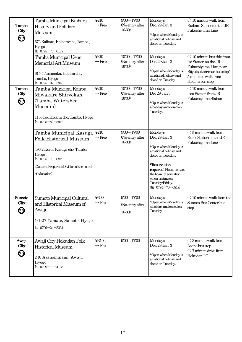| Tamba<br>City<br>☑  | Tamba Municipal Kaibara<br>History and Folklore<br>Museum<br>672 Kaibara, Kaibara-cho, Tamba,<br>Hyogo<br>TEL 0795-73-0177                                                                    | ¥210<br>$\rightarrow$ Free       | $9:00 - 17:00$<br>(No entry after<br>16:30)  | Mondays<br>Dec. 29-Jan. 3<br>*Open when Monday is<br>a national holiday and<br>closed on Tuesday.                                                                                                                                    | $\bigcirc$ 10 minute walk from<br>Kaibara Station on the JR<br>Fukuchiyama Line                                                                               |
|---------------------|-----------------------------------------------------------------------------------------------------------------------------------------------------------------------------------------------|----------------------------------|----------------------------------------------|--------------------------------------------------------------------------------------------------------------------------------------------------------------------------------------------------------------------------------------|---------------------------------------------------------------------------------------------------------------------------------------------------------------|
|                     | Tamba Municipal Ueno<br>Memorial Art Museum<br>615-4 Nishinaka, Hikami-cho,<br>Tamba, Hyogo<br>TEL 0795-82-5945                                                                               | ¥310<br>$\rightarrow$ Free       | $10:00 - 17:00$<br>(No entry after<br>16:30) | Mondays<br>Dec. 29-Jan. 3<br>*Open when Monday is<br>a national holiday and<br>closed on Tuesday.                                                                                                                                    | $\bigcirc$ 10 minute bus ride from<br>Iso Station on the JR<br>Fukuchiyama Line, near<br>Bijyutsukan-mae bus stop/<br>5 minuites walk from<br>Hikami-bus stop |
| Tamba<br>City<br>Q) | Tamba Municipal Kairou<br>Miwakare Shiryokan<br>(Tamba Watershed<br>Museum)<br>1155 Iso, Hikami-cho, Tamba, Hyogo<br>TEL 0795-82-5912                                                         | ¥210<br>$\rightarrow$ Free       | $10:00 - 17:00$<br>(No entry after<br>16:30) | Mondays<br>Dec 29-Jan 3<br>*Open when Monday is<br>a holiday and closed on<br>Tuesday.                                                                                                                                               | $\bigcirc$ 10 minute walk from<br>Isou Station from JR<br>Fukuchiyama Station                                                                                 |
|                     | Tamba Municipal Kasuga<br><b>Folk Historical Museum</b><br>496-2 Kuroi, Kasuga-cho, Tamba,<br><b>Hyogo</b><br>TEL 0795-70-0819<br>(Cultural Properties Division of the board<br>of education) | ¥210<br>$\rightarrow$ Free       | $9:00 - 17:00$<br>(No entry after<br>16:30)  | Mondays<br>Dec. 29-Jan. 3<br>*Open when Monday is<br>a national holiday and<br>closed on Tuesday.<br>*Reservation<br>required: Please contact<br>the board of education<br>when visiting on<br>Tuesday-Friday.<br>(TEL 0795-70-0819) | $\bigcirc$ 5 minute walk from<br>Kuroi Station on the JR<br>Fukuchiyama Line                                                                                  |
| Sumoto<br>City<br>ଓ | Sumoto Municipal Cultural<br>and Historical Museum of<br>Awaji<br>1-1-27 Yamate, Sumoto, Hyogo<br>TEL $0799 - 24 - 3331$                                                                      | $\yen 300$<br>$\rightarrow$ Free | $9:00 - 17:00$<br>(No entry after<br>16:30)  | Mondays<br>*Open when Monday is<br>a holiday and closed on<br>Tuesday.                                                                                                                                                               | $\bigcirc$ 10 minute walk from the<br>Sumoto Bus Center bus<br>stop                                                                                           |
| Awaji<br>City<br>29 | Awaji City Hokudan Folk<br><b>Historical Museum</b><br>240 Asanominami, Awaji,<br>Hyogo<br>TEL 0799-70-4135                                                                                   | ¥310<br>$\rightarrow$ Free       | $9:00 - 17:00$                               | Mondays<br>Dec. 28-Jan. 3<br>*Open when Monday is<br>a national holiday and<br>closed on Tuesday.                                                                                                                                    | $\bigcirc$ 3 minute walk from<br>Asano bus stop<br>$\bigcirc$ 7 minute drive from<br>Hokudan I.C.                                                             |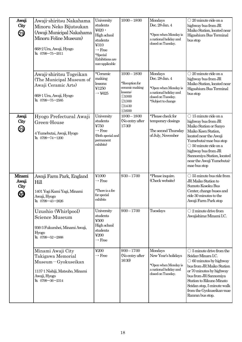| Awaji<br>City<br>②           | Awaji-shiritsu Nakahama<br>Minoru Neko Bijutsukan<br>(Awaji Municipal Nakahama<br>Minoru Feline Museum)<br>668-2 Ura, Awaji, Hyogo<br>TEL $0799 - 75 - 2011$                                   | University<br>students<br>$4620 \cdot$<br>High school<br>students<br>¥310<br>$\rightarrow$ Free<br>*Special<br>Exhibitions are<br>non-applicable | $10:00 - 18:00$                                                                                       | Mondays<br>Dec. 28-Jan. 4<br>*Open when Monday is<br>a national holiday and<br>closed on Tuesday.                       | $\bigcirc$ 20 minute ride on a<br>highway bus from JR<br>Maiko Station, located near<br>Higashiura Bus Terminal<br>bus stop                                                                                                                                                                    |
|------------------------------|------------------------------------------------------------------------------------------------------------------------------------------------------------------------------------------------|--------------------------------------------------------------------------------------------------------------------------------------------------|-------------------------------------------------------------------------------------------------------|-------------------------------------------------------------------------------------------------------------------------|------------------------------------------------------------------------------------------------------------------------------------------------------------------------------------------------------------------------------------------------------------------------------------------------|
|                              | Awaji-shiritsu Togeikan<br>(The Municipal Museum of<br>Awaji Ceramic Arts)<br>668-1 Ura, Awaji, Hyogo<br>TEL 0799-75-2585                                                                      | *Ceramic<br>making<br>lessons<br>¥1250<br>$\rightarrow$ ¥625                                                                                     | $10:00 - 18:00$<br>*Reception for<br>ceramic making<br>lessons:<br>①10:00<br>@13:00<br>@1430<br>41600 | Mondays<br>Dec. 28-Jan. 4<br>*Open when Monday is<br>a national holiday and<br>closed on Tuesday.<br>*Subject to change | $\bigcirc$ 20 minute ride on a<br>highway bus from JR<br>Maiko Station, located near<br>Higashiura Bus Terminal<br>bus stop                                                                                                                                                                    |
| Awaji<br>City<br>29          | Hyogo Prefectural Awaji<br>Green-House<br>4 Yumebutai, Awaji, Hyogo<br>TEL 0799-74-1200                                                                                                        | University<br>students<br>¥750<br>$\rightarrow$ Free<br>(Both special and<br>permanent<br>exhibits)                                              | $10:00 - 18:00$<br>(No entry after<br>17:30)                                                          | *Please check for<br>temporary closings<br>The second Thursday<br>of July, November                                     | $\bigcirc$ 15 minute ride on a<br>highway bus from JR<br>Maiko Station or Sanyo<br>Maiko Koen Station,<br>located near the Awaji<br>Yumebutai-mae bus stop<br>$\bigcirc$ 50 minute ride on a<br>highway bus from JR<br>Sannomiya Station, located<br>near the Awaji Yumebutai-<br>mae bus stop |
| Minami<br>Awaji<br>City<br>ග | Awaji Farm Park, England<br>Hill<br>1401 Yogi Kami Yagi, Minami<br>Awaji, Hyogo<br>TEL 0799-43-2626<br>Uzushio (Whirlpool)<br>Science Museum<br>936-3 Fukurahei, Minami Awaji,<br><b>Hyogo</b> | ¥1000<br>$\rightarrow$ Free<br>*There is a fee<br>for special<br>exhibits<br>University<br>students<br>¥500<br>High school<br>students<br>¥200   | $9:30 - 17:00$<br>$9:00 - 17:00$                                                                      | *Please inquire.<br>(Check website)<br>Tuesdays                                                                         | $\bigcirc$ 55 minute bus ride from<br>JR Maiko Station to<br>Sumoto Kosoku Bus<br>Center, change buses and<br>ride 30 minutes to the<br>Awaji Farm Park stop<br>$\bigcirc$ 2 minute drive from<br>Awajishima-Minami I.C.                                                                       |
|                              | TEL 0799-52-2888<br>Minami Awaji City<br>Takigawa Memorial<br>Museum-Gyokuseikan<br>1137-1 Nishiji, Matsuho, Minami<br>Awaji, Hyogo<br>TEL 0799-36-2314                                        | $\rightarrow$ Free<br>$\text{\textless}\,200$<br>$\rightarrow$ Free                                                                              | $9:00 - 17:00$<br>(No entry after<br>16:30)                                                           | Mondays<br>New Year's holidays<br>*Open when Monday is<br>a national holiday and<br>closed on Tuesday.                  | $\bigcirc$ 5 minute drive from the<br>Seidan-Minara I.C.<br>$\bigcirc$ 60 minutes by highway<br>bus from JR Maiko Station<br>or 70 minutes by highway<br>bus from JR Sannomiya<br>Station to Rikuno Minato<br>Seidan stop, 5 minute walk<br>from the Gyokuseikan-mae<br>Ranran bus stop.       |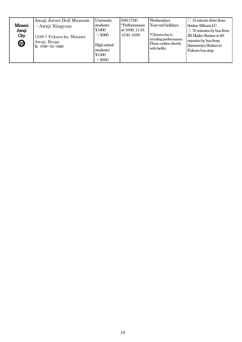| Minami<br>Awaji<br>City<br><u>ග</u> | Awaji Joruri Doll Museum<br>-Awaji Ningyoza<br>1528-1 Fukura-ko, Minami<br>Awaji, Hyogo<br>TEL 0799-52-0260 | University<br>students:<br>¥1800<br>$\rightarrow$ ¥900<br>High school<br>students:<br>¥1300<br>$\rightarrow$ ¥650 | 9:00-17:00<br>*Performances<br>at 10:00, 11:10,<br>13:30, 15:00 | Wednesdays<br>Year-end holidays<br>*Closures due to<br>traveling performances.<br>Please confirm directly<br>with facility. | $\bigcirc$ 15 minute drive from<br>Seidan Mihara I.C.<br>$\bigcirc$ 70 minutes by bus from<br>JR Maiko Station or 90<br>minutes by bus from<br>Sannomiya Station to<br>Fukura bus stop. |
|-------------------------------------|-------------------------------------------------------------------------------------------------------------|-------------------------------------------------------------------------------------------------------------------|-----------------------------------------------------------------|-----------------------------------------------------------------------------------------------------------------------------|-----------------------------------------------------------------------------------------------------------------------------------------------------------------------------------------|
|-------------------------------------|-------------------------------------------------------------------------------------------------------------|-------------------------------------------------------------------------------------------------------------------|-----------------------------------------------------------------|-----------------------------------------------------------------------------------------------------------------------------|-----------------------------------------------------------------------------------------------------------------------------------------------------------------------------------------|